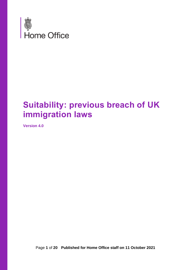

# **Suitability: previous breach of UK immigration laws**

**Version 4.0**

Page **1** of **20 Published for Home Office staff on 11 October 2021**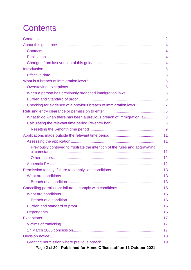<span id="page-1-0"></span>

| What to do when there has been a previous breach of immigration law  8       |  |
|------------------------------------------------------------------------------|--|
|                                                                              |  |
|                                                                              |  |
|                                                                              |  |
|                                                                              |  |
| Previously contrived to frustrate the intention of the rules and aggravating |  |
|                                                                              |  |
|                                                                              |  |
|                                                                              |  |
|                                                                              |  |
|                                                                              |  |
|                                                                              |  |
|                                                                              |  |
|                                                                              |  |
|                                                                              |  |
|                                                                              |  |
|                                                                              |  |
|                                                                              |  |
|                                                                              |  |
|                                                                              |  |
|                                                                              |  |
|                                                                              |  |
| Page 2 of 20 Published for Home Office staff on 11 October 2021              |  |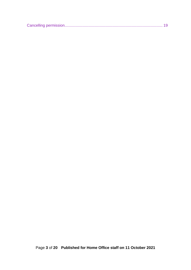|--|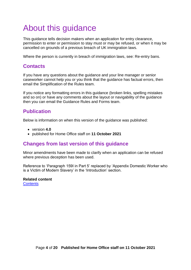# <span id="page-3-0"></span>About this guidance

This guidance tells decision makers when an application for entry clearance, permission to enter or permission to stay must or may be refused, or when it may be cancelled on grounds of a previous breach of UK immigration laws.

Where the person is currently in breach of immigration laws, see: Re-entry bans.

#### <span id="page-3-1"></span>**Contacts**

If you have any questions about the guidance and your line manager or senior caseworker cannot help you or you think that the guidance has factual errors, then email the Simplification of the Rules team.

If you notice any formatting errors in this guidance (broken links, spelling mistakes and so on) or have any comments about the layout or navigability of the guidance then you can email the Guidance Rules and Forms team.

### <span id="page-3-2"></span>**Publication**

Below is information on when this version of the guidance was published:

- version **4.0**
- published for Home Office staff on **11 October 2021**

#### <span id="page-3-3"></span>**Changes from last version of this guidance**

Minor amendments have been made to clarify when an application can be refused where previous deception has been used.

Reference to 'Paragraph 159I in Part 5' replaced by 'Appendix Domestic Worker who is a Victim of Modern Slavery' in the 'Introduction' section.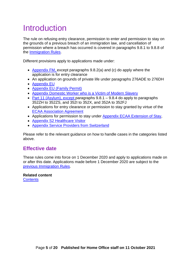## <span id="page-4-0"></span>Introduction

The rule on refusing entry clearance, permission to enter and permission to stay on the grounds of a previous breach of an immigration law, and cancellation of permission where a breach has occurred is covered in paragraphs 9.8.1 to 9.8.8 of the [Immigration Rules.](https://www.gov.uk/guidance/immigration-rules/immigration-rules-part-9-grounds-for-refusal)

Different provisions apply to applications made under:

- [Appendix FM,](https://www.gov.uk/guidance/immigration-rules/immigration-rules-appendix-fm-family-members) except paragraphs 9.8.2(a) and (c) do apply where the application is for entry clearance
- An application on grounds of private life under paragraphs 276ADE to 276DH
- [Appendix EU](https://www.gov.uk/guidance/immigration-rules/immigration-rules-appendix-eu)
- [Appendix EU \(Family Permit\)](https://www.gov.uk/guidance/immigration-rules/appendix-eu-family-permit)
- Appendix Domestic Worker [who is a Victim of Modern Slavery](https://www.gov.uk/guidance/immigration-rules/immigration-rules-appendix-domestic-worker-who-is-a-victim-of-modern-slavery)
- Part 11 (Asylum), except paragraphs  $9.8.1 9.8.4$  do apply to paragraphs [352ZH to 352ZS, and 352I to 352X, and 352A to 352FJ](https://www.gov.uk/guidance/immigration-rules/immigration-rules-part-11-asylum)
- Applications for entry clearance or permission to stay granted by virtue of the [ECAA Association Agreement](https://www.gov.uk/government/publications/turkish-ecaa-business-guidance)
- Applications for permission to stay under [Appendix ECAA Extension of Stay,](https://www.gov.uk/government/publications/application-to-extend-stay-in-uk-form-ecaa2-turkish-businessperson)
- [Appendix S2 Healthcare Visitor](https://www.gov.uk/guidance/immigration-rules/immigration-rules-appendix-s2-healthcare-visitor)
- [Appendix Service Providers from Switzerland](https://www.gov.uk/guidance/immigration-rules/immigration-rules-appendix-service-providers-from-switzerland)

Please refer to the relevant guidance on how to handle cases in the categories listed above.

#### <span id="page-4-1"></span>**Effective date**

These rules come into force on 1 December 2020 and apply to applications made on or after this date. Applications made before 1 December 2020 are subject to the [previous Immigration Rules.](https://www.gov.uk/government/publications/immigration-rules-archive-05-october-2020-to-30-november-2020)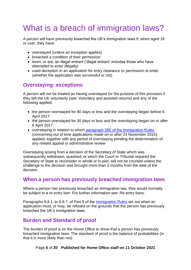# <span id="page-5-0"></span>What is a breach of immigration laws?

A person will have previously breached the UK's immigration laws if, when aged 18 or over, they have:

- overstayed (unless an exception applies)
- breached a condition of their permission
- been, or are, an illegal entrant ('illegal entrant' includes those who have attempted to enter illegally)
- used deception in an application for entry clearance or permission to enter (whether the application was successful or not)

#### <span id="page-5-1"></span>**Overstaying: exceptions**

A person will not be treated as having overstayed for the purpose of this provision if they left the UK voluntarily (see: Voluntary and assisted returns) and any of the following applied:

- the person overstayed for 90 days or less and the overstaying began before 6 April 2017
- the person overstayed for 30 days or less and the overstaying began on or after 6 April 2017
- overstaying in relation to which [paragraph 39E of the Immigration Rules](https://www.gov.uk/guidance/immigration-rules/immigration-rules-index) (concerning out of time applications made on or after 24 November 2016) applied, together with any period of overstaying pending the determination of any related appeal or administrative review

Overstaying arising from a decision of the Secretary of State which was subsequently withdrawn, quashed, or which the Court or Tribunal required the Secretary of State to reconsider in whole or in part, will not be counted unless the challenge to the decision was brought more than 3 months from the date of the decision.

#### <span id="page-5-2"></span>**When a person has previously breached immigration laws**

Where a person has previously breached an immigration law, they would normally be subject to a re-entry ban. For further information see: Re-entry bans.

Paragraphs 9.8.1. to 9.8.7. of Part 9 of the [Immigration Rules](https://www.gov.uk/guidance/immigration-rules/immigration-rules-part-9-grounds-for-refusal) set out when an application must, or may, be refused on the grounds that the person has previously breached the UK's immigration laws.

#### <span id="page-5-3"></span>**Burden and Standard of proof**

The burden of proof is on the Home Office to show that a person has previously breached immigration laws. The standard of proof is the balance of probabilities (in that it is more likely than not).

Page **6** of **20 Published for Home Office staff on 11 October 2021**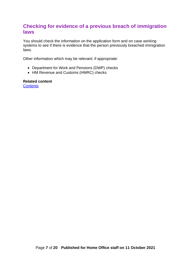#### <span id="page-6-0"></span>**Checking for evidence of a previous breach of immigration laws**

You should check the information on the application form and on case working systems to see if there is evidence that the person previously breached immigration laws.

Other information which may be relevant: if appropriate:

- Department for Work and Pensions (DWP) checks
- HM Revenue and Customs (HMRC) checks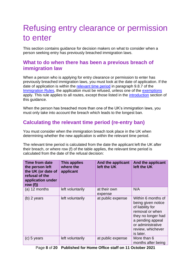## <span id="page-7-0"></span>Refusing entry clearance or permission to enter

This section contains guidance for decision makers on what to consider when a person seeking entry has previously breached immigration laws.

#### <span id="page-7-1"></span>**What to do when there has been a previous breach of immigration law**

When a person who is applying for entry clearance or permission to enter has previously breached immigration laws, you must look at the date of application. If the date of application is within the [relevant time period](#page-7-2) in paragraph 9.8.7 of the [Immigration Rules,](https://www.gov.uk/guidance/immigration-rules/immigration-rules-part-9-grounds-for-refusal) the application must be refused, unless one of the [exemptions](#page-15-1) apply. This rule applies to all routes, except those listed in the [introduction](#page-4-0) section of this guidance.

When the person has breached more than one of the UK's immigration laws, you must only take into account the breach which leads to the longest ban.

#### <span id="page-7-2"></span>**Calculating the relevant time period (re-entry ban)**

You must consider when the immigration breach took place in the UK when determining whether the new application is within the relevant time period.

The relevant time period is calculated from the date the applicant left the UK after their breach, or where row (f) of the table applies, the relevant time period is calculated from the date of the refusal decision:

| <b>Time from date</b><br>the person left<br>the UK (or date of<br>refusal of the<br>application under<br>row $(f)$ | <b>This applies</b><br>where the<br>applicant | And the applicant<br>left the UK | And the applicant<br>left the UK                                                                                                                                                 |
|--------------------------------------------------------------------------------------------------------------------|-----------------------------------------------|----------------------------------|----------------------------------------------------------------------------------------------------------------------------------------------------------------------------------|
| $(a)$ 12 months                                                                                                    | left voluntarily                              | at their own<br>expense          | N/A                                                                                                                                                                              |
| $(b)$ 2 years                                                                                                      | left voluntarily                              | at public expense                | Within 6 months of<br>being given notice<br>of liability for<br>removal or when<br>they no longer had<br>a pending appeal<br>or administrative<br>review, whichever<br>is later. |
| $(c)$ 5 years                                                                                                      | left voluntarily                              | at public expense                | More than 6<br>months after being                                                                                                                                                |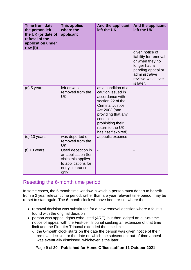| <b>Time from date</b><br>the person left<br>the UK (or date of<br>refusal of the<br>application under<br>row $(f)$ | <b>This applies</b><br>where the<br>applicant                                                                       | And the applicant<br>left the UK                                                                                                                                                                                                | And the applicant<br>left the UK                                                                                                                     |
|--------------------------------------------------------------------------------------------------------------------|---------------------------------------------------------------------------------------------------------------------|---------------------------------------------------------------------------------------------------------------------------------------------------------------------------------------------------------------------------------|------------------------------------------------------------------------------------------------------------------------------------------------------|
|                                                                                                                    |                                                                                                                     |                                                                                                                                                                                                                                 | given notice of<br>liability for removal<br>or when they no<br>longer had a<br>pending appeal or<br>administrative<br>review, whichever<br>is later. |
| $(d)$ 5 years                                                                                                      | left or was<br>removed from the<br><b>UK</b>                                                                        | as a condition of a<br>caution issued in<br>accordance with<br>section 22 of the<br><b>Criminal Justice</b><br>Act 2003 (and<br>providing that any<br>condition<br>prohibiting their<br>return to the UK<br>has itself expired) |                                                                                                                                                      |
| (e) 10 years                                                                                                       | was deported or<br>removed from the<br><b>UK</b>                                                                    | at public expense                                                                                                                                                                                                               |                                                                                                                                                      |
| $(f)$ 10 years                                                                                                     | Used deception in<br>an application (for<br>visits this applies<br>to applications for<br>entry clearance<br>only). | $\overline{a}$                                                                                                                                                                                                                  |                                                                                                                                                      |

#### <span id="page-8-0"></span>Resetting the 6-month time period

In some cases, the 6 month time window in which a person must depart to benefit from a 2 year relevant time period, rather than a 5 year relevant time period, may be re-set to start again. The 6-month clock will have been re-set where the:

- removal decision was substituted for a new removal decision where a fault is found with the original decision
- person was appeal rights exhausted (ARE), but then lodged an out-of-time notice of appeal with the First-tier Tribunal seeking an extension of that time limit and the First-tier Tribunal extended the time limit:
	- o the 6-month clock starts on the date the person was given notice of their removal decision or the date on which the subsequent out-of-time appeal was eventually dismissed, whichever is the later

#### Page **9** of **20 Published for Home Office staff on 11 October 2021**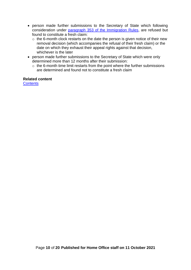- person made further submissions to the Secretary of State which following consideration under [paragraph 353 of the Immigration Rules,](https://www.gov.uk/guidance/immigration-rules/immigration-rules-part-12-procedure-and-rights-of-appeal) are refused but found to constitute a fresh claim:
	- $\circ$  the 6-month clock restarts on the date the person is given notice of their new removal decision (which accompanies the refusal of their fresh claim) or the date on which they exhaust their appeal rights against that decision, whichever is the later
- person made further submissions to the Secretary of State which were only determined more than 12 months after their submission:
	- $\circ$  the 6-month time limit restarts from the point where the further submissions are determined and found not to constitute a fresh claim

#### **Related content**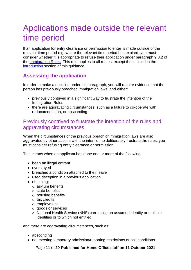## <span id="page-10-0"></span>Applications made outside the relevant time period

If an application for entry clearance or permission to enter is made outside of the relevant time period e.g. where the relevant time period has expired, you must consider whether it is appropriate to refuse their application under paragraph 9.8.2 of the [Immigration Rules.](https://www.gov.uk/guidance/immigration-rules/immigration-rules-part-9-grounds-for-refusal) This rule applies to all routes, except those listed in the [introduction](#page-4-0) section of this guidance.

#### <span id="page-10-1"></span>**Assessing the application**

In order to make a decision under this paragraph, you will require evidence that the person has previously breached immigration laws, and either:

- previously contrived in a significant way to frustrate the intention of the Immigration Rules
- there are aggravating circumstances, such as a failure to co-operate with redocumentation, or absconding

#### <span id="page-10-2"></span>Previously contrived to frustrate the intention of the rules and aggravating circumstances

When the circumstances of the previous breach of immigration laws are also aggravated by other actions with the intention to deliberately frustrate the rules, you must consider refusing entry clearance or permission.

This means when an applicant has done one or more of the following:

- been an illegal entrant
- overstayed
- breached a condition attached to their leave
- used deception in a previous application
- obtaining:
	- o asylum benefits
	- o state benefits
	- $\circ$  housing benefits
	- o tax credits
	- o employment
	- o goods or services
	- o National Health Service (NHS) care using an assumed identity or multiple identities or to which not entitled

and there are aggravating circumstances, such as:

- absconding
- not meeting temporary admission/reporting restrictions or bail conditions

Page **11** of **20 Published for Home Office staff on 11 October 2021**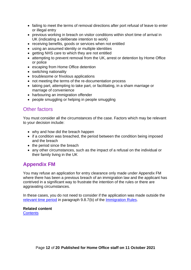- failing to meet the terms of removal directions after port refusal of leave to enter or illegal entry
- previous working in breach on visitor conditions within short time of arrival in UK (indicating a deliberate intention to work)
- receiving benefits, goods or services when not entitled
- using an assumed identity or multiple identities
- getting NHS care to which they are not entitled
- attempting to prevent removal from the UK, arrest or detention by Home Office or police
- escaping from Home Office detention
- switching nationality
- troublesome or frivolous applications
- not meeting the terms of the re-documentation process
- taking part, attempting to take part, or facilitating, in a sham marriage or marriage of convenience
- harbouring an immigration offender
- people smuggling or helping in people smuggling

#### <span id="page-11-0"></span>Other factors

You must consider all the circumstances of the case. Factors which may be relevant to your decision include:

- why and how did the breach happen
- if a condition was breached, the period between the condition being imposed and the breach
- the period since the breach
- any other circumstances, such as the impact of a refusal on the individual or their family living in the UK

### <span id="page-11-1"></span>**Appendix FM**

You may refuse an application for entry clearance only made under Appendix FM where there has been a previous breach of an immigration law and the applicant has contrived in a significant way to frustrate the intention of the rules or there are aggravating circumstances.

In these cases, you do not need to consider if the application was made outside the [relevant time period](#page-7-2) in paragraph 9.8.7(b) of the [Immigration Rules.](https://www.gov.uk/guidance/immigration-rules/immigration-rules-part-9-grounds-for-refusal)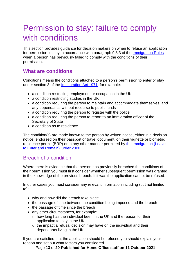## <span id="page-12-0"></span>Permission to stay: failure to comply with conditions

This section provides guidance for decision makers on when to refuse an application for permission to stay in accordance with paragraph 9.8.3 of the [Immigration Rules](https://www.gov.uk/guidance/immigration-rules/immigration-rules-part-9-grounds-for-refusal) when a person has previously failed to comply with the conditions of their permission.

#### <span id="page-12-1"></span>**What are conditions**

Conditions means the conditions attached to a person's permission to enter or stay under section 3 of the [Immigration Act 1971,](https://www.legislation.gov.uk/ukpga/1971/77/contents) for example:

- a condition restricting employment or occupation in the UK
- a condition restricting studies in the UK
- a condition requiring the person to maintain and accommodate themselves, and any dependants, without recourse to public funds
- a condition requiring the person to register with the police
- a condition requiring the person to report to an immigration officer of the Secretary of State
- a condition as to residence

The condition(s) are made known to the person by written notice, either in a decision notice, endorsed on their passport or travel document, on their vignette or biometric residence permit (BRP) or in any other manner permitted by [the Immigration \(Leave](https://www.legislation.gov.uk/uksi/2000/1161/made)  [to Enter and Remain\) Order 2000.](https://www.legislation.gov.uk/uksi/2000/1161/made)

#### <span id="page-12-2"></span>Breach of a condition

Where there is evidence that the person has previously breached the conditions of their permission you must first consider whether subsequent permission was granted in the knowledge of the previous breach. If it was the application cannot be refused.

In other cases you must consider any relevant information including (but not limited to):

- why and how did the breach take place
- the passage of time between the condition being imposed and the breach
- the passage of time since the breach
- any other circumstances, for example:
	- o how long has the individual been in the UK and the reason for their application to stay in the UK
	- $\circ$  the impact a refusal decision may have on the individual and their dependants living in the UK

If you are satisfied that the application should be refused you should explain your reason and set out what factors you considered.

Page **13** of **20 Published for Home Office staff on 11 October 2021**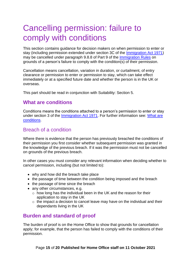## <span id="page-14-0"></span>Cancelling permission: failure to comply with conditions

This section contains guidance for decision makers on when permission to enter or stay (including permission extended under section 3C of the [Immigration Act 1971\)](https://www.legislation.gov.uk/ukpga/1971/77/contents) may be cancelled under paragraph 9.8.8 of Part 9 of the [Immigration Rules](https://www.gov.uk/guidance/immigration-rules/immigration-rules-part-9-grounds-for-refusal) on grounds of a person's failure to comply with the condition(s) of their permission.

Cancellation means cancellation, variation in duration, or curtailment, of entry clearance or permission to enter or permission to stay, which can take effect immediately or at a specified future date and whether the person is in the UK or overseas.

This part should be read in conjunction with Suitability: Section 5.

#### <span id="page-14-1"></span>**What are conditions**

Conditions means the conditions attached to a person's permission to enter or stay under section 3 of the [Immigration Act 1971.](https://www.legislation.gov.uk/ukpga/1971/77/contents) For further information see: [What are](#page-12-1)  [conditions.](#page-12-1)

#### <span id="page-14-2"></span>Breach of a condition

Where there is evidence that the person has previously breached the conditions of their permission you first consider whether subsequent permission was granted in the knowledge of the previous breach. If it was the permission must not be cancelled on grounds of the previous breach.

In other cases you must consider any relevant information when deciding whether to cancel permission, including (but not limited to):

- why and how did the breach take place
- the passage of time between the condition being imposed and the breach
- the passage of time since the breach
- any other circumstances, e.g.
	- o how long has the individual been in the UK and the reason for their application to stay in the UK
	- $\circ$  the impact a decision to cancel leave may have on the individual and their dependants living in the UK

#### <span id="page-14-3"></span>**Burden and standard of proof**

The burden of proof is on the Home Office to show that grounds for cancellation apply; for example, that the person has failed to comply with the conditions of their permission.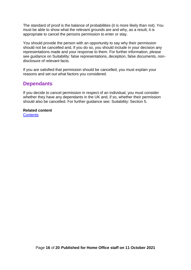The standard of proof is the balance of probabilities (it is more likely than not). You must be able to show what the relevant grounds are and why, as a result, it is appropriate to cancel the persons permission to enter or stay.

You should provide the person with an opportunity to say why their permission should not be cancelled and, if you do so, you should include in your decision any representations made and your response to them. For further information, please see guidance on Suitability: false representations, deception, false documents, nondisclosure of relevant facts.

If you are satisfied that permission should be cancelled, you must explain your reasons and set out what factors you considered.

#### <span id="page-15-0"></span>**Dependants**

If you decide to cancel permission in respect of an individual, you must consider whether they have any dependants in the UK and, if so, whether their permission should also be cancelled. For further guidance see: Suitability: Section 5.

<span id="page-15-1"></span>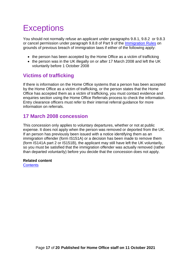# <span id="page-16-0"></span>**Exceptions**

You should not normally refuse an applicant under paragraphs 9.8.1, 9.8.2 or 9.8.3 or cancel permission under paragraph 9.8.8 of Part 9 of the [Immigration Rules](https://www.gov.uk/guidance/immigration-rules/immigration-rules-part-9-grounds-for-refusal) on grounds of previous breach of immigration laws if either of the following apply:

- the person has been accepted by the Home Office as a victim of trafficking
- the person was in the UK illegally on or after 17 March 2008 and left the UK voluntarily before 1 October 2008

### <span id="page-16-1"></span>**Victims of trafficking**

If there is information on the Home Office systems that a person has been accepted by the Home Office as a victim of trafficking, or the person states that the Home Office has accepted them as a victim of trafficking, you must contact evidence and enquiries section using the Home Office Referrals process to check the information. Entry clearance officers must refer to their internal referral guidance for more information on referrals.

### <span id="page-16-2"></span>**17 March 2008 concession**

This concession only applies to voluntary departures, whether or not at public expense. It does not apply when the person was removed or deported from the UK. If an person has previously been issued with a notice identifying them as an immigration offender (form IS151A) or a decision has been made to remove them (form IS141A part 2 or IS151B), the applicant may still have left the UK voluntarily, so you must be satisfied that the immigration offender was actually removed (rather than departed voluntarily) before you decide that the concession does not apply.

#### **Related content**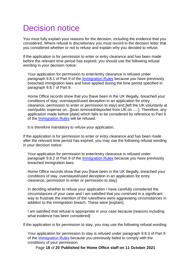## <span id="page-17-0"></span>Decision notice

You must fully explain your reasons for the decision, including the evidence that you considered. Where refusal is discretionary you must record in the decision letter that you considered whether or not to refuse and explain why you decided to refuse.

If the application is for permission to enter or entry clearance and has been made before the relevant time period has expired, you should use the following refusal wording in your decision notice:

Your application for permission to enter/entry clearance is refused under paragraph 9.8.1 of Part 9 of the *Immigration Rules* because you have previously breached immigration laws and have applied during the time period specified in paragraph 9.8.7 of Part 9.

Home Office records show that you [have been in the UK illegally, breached your conditions of stay, overstayed/used deception in an application for entry clearance, permission to enter or permission to stay] and [left the UK voluntarily at own/public expense on...][was removed/deported from UK on......]. Therefore, any application made before [date] which falls to be considered by reference to Part 9 of the [Immigration Rules](https://www.gov.uk/guidance/immigration-rules/immigration-rules-part-9-grounds-for-refusal) will be refused.

It is therefore mandatory to refuse your application.

If the application is for permission to enter or entry clearance and has been made after the relevant time period has expired, you may use the following refusal wording in your decision notice:

Your application for permission to enter/entry clearance is refused under paragraph 9.8.2 of Part 9 of the [Immigration Rules](https://www.gov.uk/guidance/immigration-rules/immigration-rules-part-9-grounds-for-refusal) because you have previously breached immigration laws.

Home Office records show that you [have been in the UK illegally, breached your conditions of stay, overstayed/used deception in an application for entry clearance, permission to enter or permission to stay].

In deciding whether to refuse your application I have carefully considered the circumstances of your case and I am satisfied that you contrived in a significant way to frustrate the intention of the rules/there were aggravating circumstances in addition to the immigration breach. These were [explain].

I am satisfied that refusal is appropriate in your case because [reasons including what evidence has been considered]

If the application is for permission to stay, you may use the following refusal wording:

Your application for permission to stay is refused under paragraph 9.8.3 of Part 9 of the [Immigration Rules](https://www.gov.uk/guidance/immigration-rules/immigration-rules-part-9-grounds-for-refusal) because you previously failed to comply with the conditions of your permission.

Page **18** of **20 Published for Home Office staff on 11 October 2021**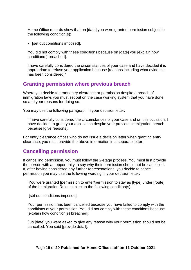Home Office records show that on [date] you were granted permission subject to the following condition(s):

• [set out conditions imposed].

You did not comply with these conditions because on [date] you [explain how condition(s) breached].

I have carefully considered the circumstances of your case and have decided it is appropriate to refuse your application because [reasons including what evidence has been considered]"

#### <span id="page-18-0"></span>**Granting permission where previous breach**

Where you decide to grant entry clearance or permission despite a breach of immigration laws you must set out on the case working system that you have done so and your reasons for doing so.

You may use the following paragraph in your decision letter:

'I have carefully considered the circumstances of your case and on this occasion, I have decided to grant your application despite your previous immigration breach because laive reasonsl.'

For entry clearance offices who do not issue a decision letter when granting entry clearance, you must provide the above information in a separate letter.

#### <span id="page-18-1"></span>**Cancelling permission**

If cancelling permission, you must follow the 2-stage process. You must first provide the person with an opportunity to say why their permission should not be cancelled. If, after having considered any further representations, you decide to cancel permission you may use the following wording in your decision letter:

'You were granted [permission to enter/permission to stay as [type] under [route] of the Immigration Rules subject to the following condition(s):

[set out conditions imposed].

Your permission has been cancelled because you have failed to comply with the conditions of your permission. You did not comply with these conditions because [explain how condition(s) breached].

[On [date] you were asked to give any reason why your permission should not be cancelled. You said [provide detail].